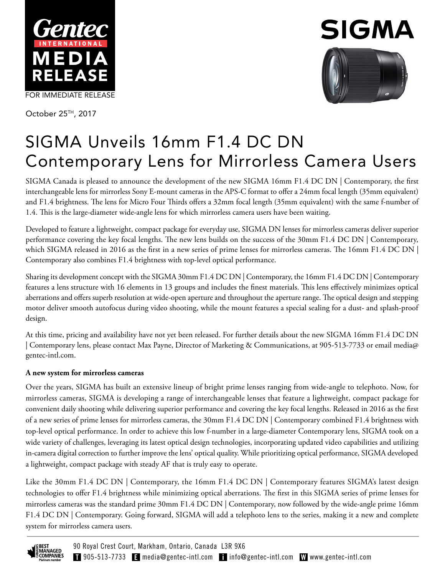

October 25TH, 2017



# SIGMA Unveils 16mm F1.4 DC DN Contemporary Lens for Mirrorless Camera Users

SIGMA Canada is pleased to announce the development of the new SIGMA 16mm F1.4 DC DN | Contemporary, the first interchangeable lens for mirrorless Sony E-mount cameras in the APS-C format to offer a 24mm focal length (35mm equivalent) and F1.4 brightness. The lens for Micro Four Thirds offers a 32mm focal length (35mm equivalent) with the same f-number of 1.4. This is the large-diameter wide-angle lens for which mirrorless camera users have been waiting.

Developed to feature a lightweight, compact package for everyday use, SIGMA DN lenses for mirrorless cameras deliver superior performance covering the key focal lengths. The new lens builds on the success of the 30mm F1.4 DC DN | Contemporary, which SIGMA released in 2016 as the first in a new series of prime lenses for mirrorless cameras. The 16mm F1.4 DC DN Contemporary also combines F1.4 brightness with top-level optical performance.

Sharing its development concept with the SIGMA 30mm F1.4 DC DN | Contemporary, the 16mm F1.4 DC DN | Contemporary features a lens structure with 16 elements in 13 groups and includes the finest materials. This lens effectively minimizes optical aberrations and offers superb resolution at wide-open aperture and throughout the aperture range. The optical design and stepping motor deliver smooth autofocus during video shooting, while the mount features a special sealing for a dust- and splash-proof design.

At this time, pricing and availability have not yet been released. For further details about the new SIGMA 16mm F1.4 DC DN | Contemporary lens, please contact Max Payne, Director of Marketing & Communications, at 905-513-7733 or email media@ gentec-intl.com.

## **A new system for mirrorless cameras**

Over the years, SIGMA has built an extensive lineup of bright prime lenses ranging from wide-angle to telephoto. Now, for mirrorless cameras, SIGMA is developing a range of interchangeable lenses that feature a lightweight, compact package for convenient daily shooting while delivering superior performance and covering the key focal lengths. Released in 2016 as the first of a new series of prime lenses for mirrorless cameras, the 30mm F1.4 DC DN | Contemporary combined F1.4 brightness with top-level optical performance. In order to achieve this low f-number in a large-diameter Contemporary lens, SIGMA took on a wide variety of challenges, leveraging its latest optical design technologies, incorporating updated video capabilities and utilizing in-camera digital correction to further improve the lens' optical quality. While prioritizing optical performance, SIGMA developed a lightweight, compact package with steady AF that is truly easy to operate.

Like the 30mm F1.4 DC DN | Contemporary, the 16mm F1.4 DC DN | Contemporary features SIGMA's latest design technologies to offer F1.4 brightness while minimizing optical aberrations. The first in this SIGMA series of prime lenses for mirrorless cameras was the standard prime 30mm F1.4 DC DN | Contemporary, now followed by the wide-angle prime 16mm F1.4 DC DN | Contemporary. Going forward, SIGMA will add a telephoto lens to the series, making it a new and complete system for mirrorless camera users.

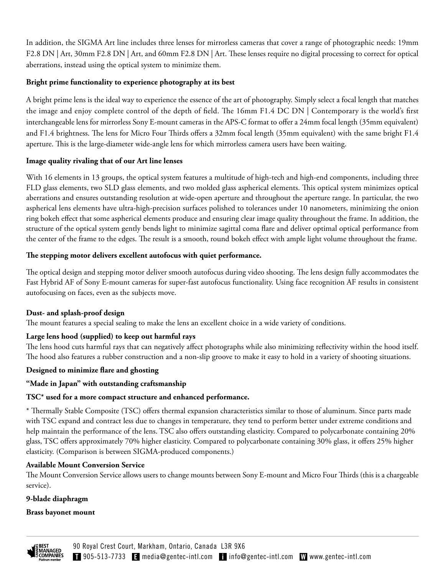In addition, the SIGMA Art line includes three lenses for mirrorless cameras that cover a range of photographic needs: 19mm F2.8 DN | Art, 30mm F2.8 DN | Art, and 60mm F2.8 DN | Art. These lenses require no digital processing to correct for optical aberrations, instead using the optical system to minimize them.

## **Bright prime functionality to experience photography at its best**

A bright prime lens is the ideal way to experience the essence of the art of photography. Simply select a focal length that matches the image and enjoy complete control of the depth of field. The 16mm F1.4 DC DN | Contemporary is the world's first interchangeable lens for mirrorless Sony E-mount cameras in the APS-C format to offer a 24mm focal length (35mm equivalent) and F1.4 brightness. The lens for Micro Four Thirds offers a 32mm focal length (35mm equivalent) with the same bright F1.4 aperture. This is the large-diameter wide-angle lens for which mirrorless camera users have been waiting.

## **Image quality rivaling that of our Art line lenses**

With 16 elements in 13 groups, the optical system features a multitude of high-tech and high-end components, including three FLD glass elements, two SLD glass elements, and two molded glass aspherical elements. This optical system minimizes optical aberrations and ensures outstanding resolution at wide-open aperture and throughout the aperture range. In particular, the two aspherical lens elements have ultra-high-precision surfaces polished to tolerances under 10 nanometers, minimizing the onion ring bokeh effect that some aspherical elements produce and ensuring clear image quality throughout the frame. In addition, the structure of the optical system gently bends light to minimize sagittal coma flare and deliver optimal optical performance from the center of the frame to the edges. The result is a smooth, round bokeh effect with ample light volume throughout the frame.

## **The stepping motor delivers excellent autofocus with quiet performance.**

The optical design and stepping motor deliver smooth autofocus during video shooting. The lens design fully accommodates the Fast Hybrid AF of Sony E-mount cameras for super-fast autofocus functionality. Using face recognition AF results in consistent autofocusing on faces, even as the subjects move.

# **Dust- and splash-proof design**

The mount features a special sealing to make the lens an excellent choice in a wide variety of conditions.

# **Large lens hood (supplied) to keep out harmful rays**

The lens hood cuts harmful rays that can negatively affect photographs while also minimizing reflectivity within the hood itself. The hood also features a rubber construction and a non-slip groove to make it easy to hold in a variety of shooting situations.

## **Designed to minimize flare and ghosting**

## **"Made in Japan" with outstanding craftsmanship**

## **TSC\* used for a more compact structure and enhanced performance.**

\* Thermally Stable Composite (TSC) offers thermal expansion characteristics similar to those of aluminum. Since parts made with TSC expand and contract less due to changes in temperature, they tend to perform better under extreme conditions and help maintain the performance of the lens. TSC also offers outstanding elasticity. Compared to polycarbonate containing 20% glass, TSC offers approximately 70% higher elasticity. Compared to polycarbonate containing 30% glass, it offers 25% higher elasticity. (Comparison is between SIGMA-produced components.)

## **Available Mount Conversion Service**

The Mount Conversion Service allows users to change mounts between Sony E-mount and Micro Four Thirds (this is a chargeable service).

## **9-blade diaphragm**

## **Brass bayonet mount**